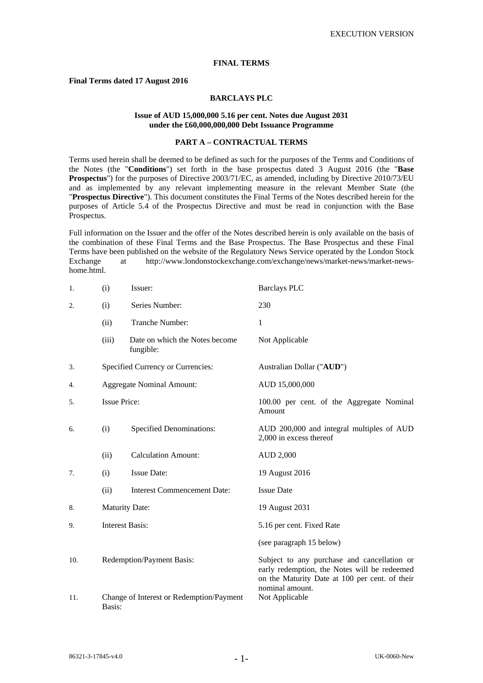# **FINAL TERMS**

# **Final Terms dated 17 August 2016**

# **BARCLAYS PLC**

#### **Issue of AUD 15,000,000 5.16 per cent. Notes due August 2031 under the £60,000,000,000 Debt Issuance Programme**

# **PART A – CONTRACTUAL TERMS**

Terms used herein shall be deemed to be defined as such for the purposes of the Terms and Conditions of the Notes (the "**Conditions**") set forth in the base prospectus dated 3 August 2016 (the "**Base Prospectus**") for the purposes of Directive 2003/71/EC, as amended, including by Directive 2010/73/EU and as implemented by any relevant implementing measure in the relevant Member State (the "**Prospectus Directive**"). This document constitutes the Final Terms of the Notes described herein for the purposes of Article 5.4 of the Prospectus Directive and must be read in conjunction with the Base Prospectus.

Full information on the Issuer and the offer of the Notes described herein is only available on the basis of the combination of these Final Terms and the Base Prospectus. The Base Prospectus and these Final Terms have been published on the website of the Regulatory News Service operated by the London Stock Exchange at http://www.londonstockexchange.com/exchange/news/market-news/market-newshome.html.

| 1.  | (i)                               | Issuer:                                     | <b>Barclays PLC</b>                                                                                                                                              |  |
|-----|-----------------------------------|---------------------------------------------|------------------------------------------------------------------------------------------------------------------------------------------------------------------|--|
| 2.  | (i)                               | Series Number:                              | 230                                                                                                                                                              |  |
|     | (ii)                              | Tranche Number:                             | 1                                                                                                                                                                |  |
|     | (iii)                             | Date on which the Notes become<br>fungible: | Not Applicable                                                                                                                                                   |  |
| 3.  | Specified Currency or Currencies: |                                             | Australian Dollar ("AUD")                                                                                                                                        |  |
| 4.  |                                   | <b>Aggregate Nominal Amount:</b>            | AUD 15,000,000                                                                                                                                                   |  |
| 5.  | <b>Issue Price:</b>               |                                             | 100.00 per cent. of the Aggregate Nominal<br>Amount                                                                                                              |  |
| 6.  | (i)                               | <b>Specified Denominations:</b>             | AUD 200,000 and integral multiples of AUD<br>2,000 in excess thereof                                                                                             |  |
|     | (ii)                              | <b>Calculation Amount:</b>                  | AUD 2,000                                                                                                                                                        |  |
| 7.  | (i)                               | <b>Issue Date:</b>                          | 19 August 2016                                                                                                                                                   |  |
|     | (ii)                              | <b>Interest Commencement Date:</b>          | <b>Issue Date</b>                                                                                                                                                |  |
| 8.  | <b>Maturity Date:</b>             |                                             | 19 August 2031                                                                                                                                                   |  |
| 9.  | <b>Interest Basis:</b>            |                                             | 5.16 per cent. Fixed Rate                                                                                                                                        |  |
|     |                                   |                                             | (see paragraph 15 below)                                                                                                                                         |  |
| 10. | Redemption/Payment Basis:         |                                             | Subject to any purchase and cancellation or<br>early redemption, the Notes will be redeemed<br>on the Maturity Date at 100 per cent. of their<br>nominal amount. |  |
| 11. | Basis:                            | Change of Interest or Redemption/Payment    | Not Applicable                                                                                                                                                   |  |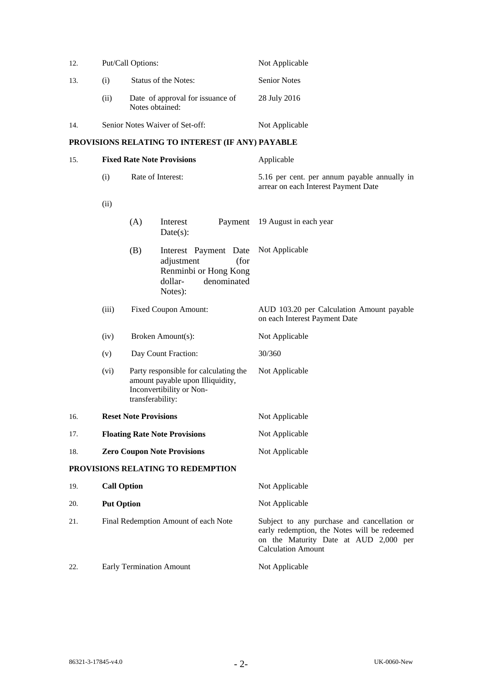| 12. | Put/Call Options:               |                                                     | Not Applicable      |  |
|-----|---------------------------------|-----------------------------------------------------|---------------------|--|
| 13. | (i)                             | Status of the Notes:                                | <b>Senior Notes</b> |  |
|     | (11)                            | Date of approval for issuance of<br>Notes obtained: | 28 July 2016        |  |
| 14. | Senior Notes Waiver of Set-off: |                                                     | Not Applicable      |  |

# **PROVISIONS RELATING TO INTEREST (IF ANY) PAYABLE**

| 15. | <b>Fixed Rate Note Provisions</b>    |                   |                                                                                                           | Applicable                                                                                                                                                        |  |
|-----|--------------------------------------|-------------------|-----------------------------------------------------------------------------------------------------------|-------------------------------------------------------------------------------------------------------------------------------------------------------------------|--|
|     | (i)                                  | Rate of Interest: |                                                                                                           | 5.16 per cent. per annum payable annually in<br>arrear on each Interest Payment Date                                                                              |  |
|     | (ii)                                 |                   |                                                                                                           |                                                                                                                                                                   |  |
|     |                                      | (A)               | Interest<br>Payment<br>$Date(s)$ :                                                                        | 19 August in each year                                                                                                                                            |  |
|     |                                      | (B)               | Interest Payment Date<br>adjustment<br>(for<br>Renminbi or Hong Kong<br>denominated<br>dollar-<br>Notes): | Not Applicable                                                                                                                                                    |  |
|     | (iii)<br><b>Fixed Coupon Amount:</b> |                   |                                                                                                           | AUD 103.20 per Calculation Amount payable<br>on each Interest Payment Date                                                                                        |  |
|     | (iv)                                 |                   | Broken Amount(s):                                                                                         | Not Applicable                                                                                                                                                    |  |
|     | (v)                                  |                   | Day Count Fraction:                                                                                       | 30/360                                                                                                                                                            |  |
|     | (vi)                                 | transferability:  | Party responsible for calculating the<br>amount payable upon Illiquidity,<br>Inconvertibility or Non-     | Not Applicable                                                                                                                                                    |  |
| 16. | <b>Reset Note Provisions</b>         |                   |                                                                                                           | Not Applicable                                                                                                                                                    |  |
| 17. | <b>Floating Rate Note Provisions</b> |                   |                                                                                                           | Not Applicable                                                                                                                                                    |  |
| 18. | <b>Zero Coupon Note Provisions</b>   |                   |                                                                                                           | Not Applicable                                                                                                                                                    |  |
|     |                                      |                   | PROVISIONS RELATING TO REDEMPTION                                                                         |                                                                                                                                                                   |  |
| 19. | <b>Call Option</b>                   |                   |                                                                                                           | Not Applicable                                                                                                                                                    |  |
| 20. | <b>Put Option</b>                    |                   |                                                                                                           | Not Applicable                                                                                                                                                    |  |
| 21. | Final Redemption Amount of each Note |                   |                                                                                                           | Subject to any purchase and cancellation or<br>early redemption, the Notes will be redeemed<br>on the Maturity Date at AUD 2,000 per<br><b>Calculation Amount</b> |  |
| 22. | <b>Early Termination Amount</b>      |                   |                                                                                                           | Not Applicable                                                                                                                                                    |  |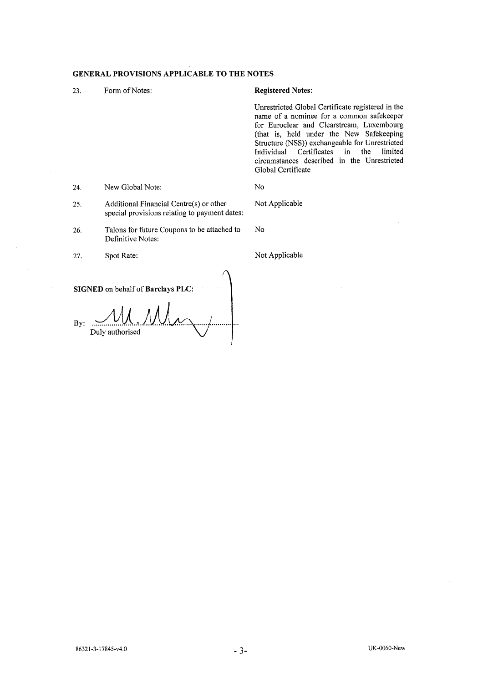# GENERAL PROVISIONS APPLICABLE TO THE NOTES

| 23. | Form of Notes:                                                                           | <b>Registered Notes:</b>                                                                                                                                                                                                                                                                                                                                                     |  |
|-----|------------------------------------------------------------------------------------------|------------------------------------------------------------------------------------------------------------------------------------------------------------------------------------------------------------------------------------------------------------------------------------------------------------------------------------------------------------------------------|--|
|     |                                                                                          | Unrestricted Global Certificate registered in the<br>name of a nominee for a common safekeeper<br>for Euroclear and Clearstream, Luxembourg<br>(that is, held under the New Safekeeping<br>Structure (NSS)) exchangeable for Unrestricted<br>Individual Certificates<br>$\mathbf{in}$<br>the<br>limited<br>circumstances described in the Unrestricted<br>Global Certificate |  |
| 24. | New Global Note:                                                                         | No                                                                                                                                                                                                                                                                                                                                                                           |  |
| 25. | Additional Financial Centre(s) or other<br>special provisions relating to payment dates: | Not Applicable                                                                                                                                                                                                                                                                                                                                                               |  |
| 26. | Talons for future Coupons to be attached to<br>Definitive Notes:                         | No                                                                                                                                                                                                                                                                                                                                                                           |  |
| 27. | Spot Rate:                                                                               | Not Applicable                                                                                                                                                                                                                                                                                                                                                               |  |

SIGNED on behalf of Barclays PLC:

By:  $\frac{M_{\text{max}}}{\text{Duly authorized}}$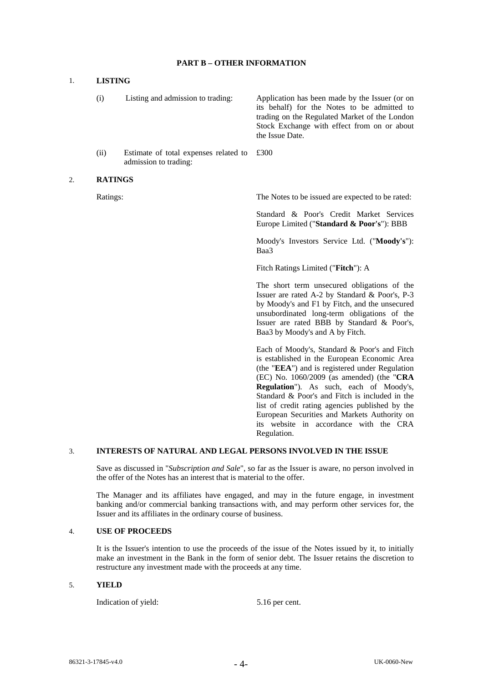#### **PART B – OTHER INFORMATION**

#### 1. **LISTING**

- (i) Listing and admission to trading: Application has been made by the Issuer (or on its behalf) for the Notes to be admitted to trading on the Regulated Market of the London Stock Exchange with effect from on or about the Issue Date.
- (ii) Estimate of total expenses related to admission to trading: £300

#### 2. **RATINGS**

Ratings: The Notes to be issued are expected to be rated:

 Standard & Poor's Credit Market Services Europe Limited ("**Standard & Poor's**"): BBB

 Moody's Investors Service Ltd. ("**Moody's**"): Baa3

Fitch Ratings Limited ("**Fitch**"): A

 The short term unsecured obligations of the Issuer are rated A-2 by Standard & Poor's, P-3 by Moody's and F1 by Fitch, and the unsecured unsubordinated long-term obligations of the Issuer are rated BBB by Standard & Poor's, Baa3 by Moody's and A by Fitch.

 Each of Moody's, Standard & Poor's and Fitch is established in the European Economic Area (the "**EEA**") and is registered under Regulation (EC) No. 1060/2009 (as amended) (the "**CRA Regulation**"). As such, each of Moody's, Standard & Poor's and Fitch is included in the list of credit rating agencies published by the European Securities and Markets Authority on its website in accordance with the CRA Regulation.

#### 3. **INTERESTS OF NATURAL AND LEGAL PERSONS INVOLVED IN THE ISSUE**

 Save as discussed in "*Subscription and Sale*", so far as the Issuer is aware, no person involved in the offer of the Notes has an interest that is material to the offer.

 The Manager and its affiliates have engaged, and may in the future engage, in investment banking and/or commercial banking transactions with, and may perform other services for, the Issuer and its affiliates in the ordinary course of business.

#### 4. **USE OF PROCEEDS**

 It is the Issuer's intention to use the proceeds of the issue of the Notes issued by it, to initially make an investment in the Bank in the form of senior debt. The Issuer retains the discretion to restructure any investment made with the proceeds at any time.

#### 5. **YIELD**

Indication of yield:  $5.16$  per cent.